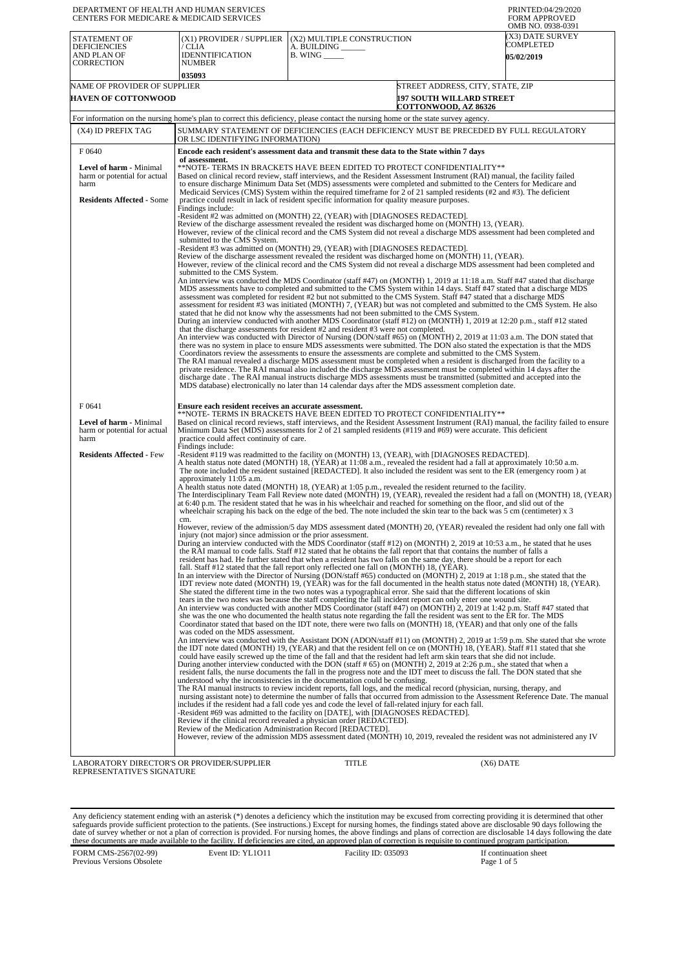| DEPARTMENT OF HEALTH AND HUMAN SERVICES<br>CENTERS FOR MEDICARE & MEDICAID SERVICES                 |                                                                                                    |                                                                                                                                                                                                                                                                                                                                                                                                                                                                                                                                                                                                                                                                                                                                      | PRINTED:04/29/2020<br><b>FORM APPROVED</b><br>OMB NO. 0938-0391                                                                        |
|-----------------------------------------------------------------------------------------------------|----------------------------------------------------------------------------------------------------|--------------------------------------------------------------------------------------------------------------------------------------------------------------------------------------------------------------------------------------------------------------------------------------------------------------------------------------------------------------------------------------------------------------------------------------------------------------------------------------------------------------------------------------------------------------------------------------------------------------------------------------------------------------------------------------------------------------------------------------|----------------------------------------------------------------------------------------------------------------------------------------|
| STATEMENT OF<br><b>DEFICIENCIES</b><br>AND PLAN OF<br>CORRECTION                                    | (X1) PROVIDER / SUPPLIER<br>/ CLIA<br><b>IDENNTIFICATION</b><br>NUMBER                             | (X2) MULTIPLE CONSTRUCTION<br>A. BUILDING ___<br>B. WING _____                                                                                                                                                                                                                                                                                                                                                                                                                                                                                                                                                                                                                                                                       | (X3) DATE SURVEY<br>COMPLETED<br><b>05/02/2019</b>                                                                                     |
|                                                                                                     | 035093                                                                                             |                                                                                                                                                                                                                                                                                                                                                                                                                                                                                                                                                                                                                                                                                                                                      |                                                                                                                                        |
| NAME OF PROVIDER OF SUPPLIER<br><b>HAVEN OF COTTONWOOD</b>                                          |                                                                                                    |                                                                                                                                                                                                                                                                                                                                                                                                                                                                                                                                                                                                                                                                                                                                      | STREET ADDRESS, CITY, STATE, ZIP<br><b>197 SOUTH WILLARD STREET</b>                                                                    |
|                                                                                                     |                                                                                                    |                                                                                                                                                                                                                                                                                                                                                                                                                                                                                                                                                                                                                                                                                                                                      | <b>COTTONWOOD, AZ 86326</b>                                                                                                            |
| (X4) ID PREFIX TAG                                                                                  |                                                                                                    | For information on the nursing home's plan to correct this deficiency, please contact the nursing home or the state survey agency.<br>SUMMARY STATEMENT OF DEFICIENCIES (EACH DEFICIENCY MUST BE PRECEDED BY FULL REGULATORY                                                                                                                                                                                                                                                                                                                                                                                                                                                                                                         |                                                                                                                                        |
|                                                                                                     | OR LSC IDENTIFYING INFORMATION)                                                                    |                                                                                                                                                                                                                                                                                                                                                                                                                                                                                                                                                                                                                                                                                                                                      |                                                                                                                                        |
| F0640                                                                                               | of assessment.                                                                                     | Encode each resident's assessment data and transmit these data to the State within 7 days                                                                                                                                                                                                                                                                                                                                                                                                                                                                                                                                                                                                                                            |                                                                                                                                        |
| Level of harm - Minimal<br>harm or potential for actual<br>harm<br><b>Residents Affected - Some</b> |                                                                                                    | **NOTE- TERMS IN BRACKETS HAVE BEEN EDITED TO PROTECT CONFIDENTIALITY**<br>Based on clinical record review, staff interviews, and the Resident Assessment Instrument (RAI) manual, the facility failed<br>to ensure discharge Minimum Data Set (MDS) assessments were completed and submitted to the Centers for Medicare and<br>Medicaid Services (CMS) System within the required timeframe for 2 of 21 sampled residents (#2 and #3). The deficient<br>practice could result in lack of resident specific information for quality measure purposes.                                                                                                                                                                               |                                                                                                                                        |
|                                                                                                     | Findings include:<br>submitted to the CMS System.                                                  | -Resident #2 was admitted on (MONTH) 22, (YEAR) with [DIAGNOSES REDACTED].<br>Review of the discharge assessment revealed the resident was discharged home on (MONTH) 13, (YEAR).<br>However, review of the clinical record and the CMS System did not reveal a discharge MDS assessment had been completed and<br>-Resident #3 was admitted on (MONTH) 29, (YEAR) with [DIAGNOSES REDACTED].                                                                                                                                                                                                                                                                                                                                        |                                                                                                                                        |
|                                                                                                     | submitted to the CMS System.                                                                       | Review of the discharge assessment revealed the resident was discharged home on (MONTH) 11, (YEAR).<br>However, review of the clinical record and the CMS System did not reveal a discharge MDS assessment had been completed and                                                                                                                                                                                                                                                                                                                                                                                                                                                                                                    |                                                                                                                                        |
|                                                                                                     |                                                                                                    | An interview was conducted the MDS Coordinator (staff #47) on (MONTH) 1, 2019 at 11:18 a.m. Staff #47 stated that discharge<br>MDS assessments have to completed and submitted to the CMS System within 14 days. Staff #47 stated that a discharge MDS<br>assessment was completed for resident #2 but not submitted to the CMS System. Staff #47 stated that a discharge MDS<br>assessment for resident #3 was initiated (MONTH) 7, (YEAR) but was not completed and submitted to the CMS System. He also<br>stated that he did not know why the assessments had not been submitted to the CMS System.<br>During an interview conducted with another MDS Coordinator (staff #12) on (MONTH) 1, 2019 at 12:20 p.m., staff #12 stated |                                                                                                                                        |
|                                                                                                     |                                                                                                    | that the discharge assessments for resident #2 and resident #3 were not completed.<br>An interview was conducted with Director of Nursing (DON/staff #65) on (MONTH) 2, 2019 at 11:03 a.m. The DON stated that<br>there was no system in place to ensure MDS assessments were submitted. The DON also stated the expectation is that the MDS                                                                                                                                                                                                                                                                                                                                                                                         |                                                                                                                                        |
|                                                                                                     |                                                                                                    | Coordinators review the assessments to ensure the assessments are complete and submitted to the CMS System.<br>The RAI manual revealed a discharge MDS assessment must be completed when a resident is discharged from the facility to a<br>private residence. The RAI manual also included the discharge MDS assessment must be completed within 14 days after the<br>discharge date. The RAI manual instructs discharge MDS assessments must be transmitted (submitted and accepted into the<br>MDS database) electronically no later than 14 calendar days after the MDS assessment completion date.                                                                                                                              |                                                                                                                                        |
| F0641<br>Level of harm - Minimal<br>harm or potential for actual<br>harm                            | Ensure each resident receives an accurate assessment.<br>practice could affect continuity of care. | **NOTE- TERMS IN BRACKETS HAVE BEEN EDITED TO PROTECT CONFIDENTIALITY**<br>Minimum Data Set (MDS) assessments for 2 of 21 sampled residents (#119 and #69) were accurate. This deficient                                                                                                                                                                                                                                                                                                                                                                                                                                                                                                                                             | Based on clinical record reviews, staff interviews, and the Resident Assessment Instrument (RAI) manual, the facility failed to ensure |
| <b>Residents Affected - Few</b>                                                                     | Findings include:<br>approximately 11:05 a.m.                                                      | -Resident #119 was readmitted to the facility on (MONTH) 13, (YEAR), with [DIAGNOSES REDACTED].<br>A health status note dated (MONTH) 18, (YEAR) at 11:08 a.m., revealed the resident had a fall at approximately 10:50 a.m.<br>The note included the resident sustained [REDACTED]. It also included the resident was sent to the ER (emergency room) at                                                                                                                                                                                                                                                                                                                                                                            |                                                                                                                                        |
|                                                                                                     | cm.                                                                                                | A health status note dated (MONTH) 18, (YEAR) at 1:05 p.m., revealed the resident returned to the facility.<br>at 6:40 p.m. The resident stated that he was in his wheelchair and reached for something on the floor, and slid out of the<br>wheelchair scraping his back on the edge of the bed. The note included the skin tear to the back was $5 \text{ cm}$ (centimeter) x $3$                                                                                                                                                                                                                                                                                                                                                  | The Interdisciplinary Team Fall Review note dated (MONTH) 19, (YEAR), revealed the resident had a fall on (MONTH) 18, (YEAR)           |
|                                                                                                     | injury (not major) since admission or the prior assessment.                                        | During an interview conducted with the MDS Coordinator (staff #12) on (MONTH) 2, 2019 at 10:53 a.m., he stated that he uses<br>the RAI manual to code falls. Staff #12 stated that he obtains the fall report that that contains the number of falls a<br>resident has had. He further stated that when a resident has two falls on the same day, there should be a report for each                                                                                                                                                                                                                                                                                                                                                  | However, review of the admission/5 day MDS assessment dated (MONTH) 20, (YEAR) revealed the resident had only one fall with            |
|                                                                                                     |                                                                                                    | fall. Staff #12 stated that the fall report only reflected one fall on (MONTH) 18, (YEAR).<br>In an interview with the Director of Nursing (DON/staff #65) conducted on (MONTH) 2, 2019 at 1:18 p.m., she stated that the<br>She stated the different time in the two notes was a typographical error. She said that the different locations of skin                                                                                                                                                                                                                                                                                                                                                                                 | IDT review note dated (MONTH) 19, (YEAR) was for the fall documented in the health status note dated (MONTH) 18, (YEAR).               |
|                                                                                                     | was coded on the MDS assessment.                                                                   | tears in the two notes was because the staff completing the fall incident report can only enter one wound site.<br>An interview was conducted with another MDS Coordinator (staff #47) on (MONTH) 2, 2019 at 1:42 p.m. Staff #47 stated that<br>she was the one who documented the health status note regarding the fall the resident was sent to the ER for. The MDS<br>Coordinator stated that based on the IDT note, there were two falls on (MONTH) 18, (YEAR) and that only one of the falls                                                                                                                                                                                                                                    |                                                                                                                                        |
|                                                                                                     |                                                                                                    | the IDT note dated (MONTH) 19, (YEAR) and that the resident fell on ce on (MONTH) 18, (YEAR). Staff #11 stated that she<br>could have easily screwed up the time of the fall and that the resident had left arm skin tears that she did not include.<br>During another interview conducted with the DON (staff # 65) on (MONTH) 2, 2019 at 2:26 p.m., she stated that when a<br>resident falls, the nurse documents the fall in the progress note and the IDT meet to discuss the fall. The DON stated that she<br>understood why the inconsistencies in the documentation could be confusing.                                                                                                                                       | An interview was conducted with the Assistant DON (ADON/staff #11) on (MONTH) 2, 2019 at 1:59 p.m. She stated that she wrote           |
|                                                                                                     | Review of the Medication Administration Record [REDACTED].                                         | The RAI manual instructs to review incident reports, fall logs, and the medical record (physician, nursing, therapy, and<br>includes if the resident had a fall code yes and code the level of fall-related injury for each fall.<br>-Resident #69 was admitted to the facility on [DATE], with [DIAGNOSES REDACTED].<br>Review if the clinical record revealed a physician order [REDACTED].                                                                                                                                                                                                                                                                                                                                        | nursing assistant note) to determine the number of falls that occurred from admission to the Assessment Reference Date. The manual     |
|                                                                                                     |                                                                                                    | However, review of the admission MDS assessment dated (MONTH) 10, 2019, revealed the resident was not administered any IV                                                                                                                                                                                                                                                                                                                                                                                                                                                                                                                                                                                                            |                                                                                                                                        |
| LABORATORY DIRECTOR'S OR PROVIDER/SUPPLIER<br>REPRESENTATIVE'S SIGNATURE                            |                                                                                                    | TITLE                                                                                                                                                                                                                                                                                                                                                                                                                                                                                                                                                                                                                                                                                                                                | $(X6)$ DATE                                                                                                                            |

Any deficiency statement ending with an asterisk (\*) denotes a deficiency which the institution may be excused from correcting providing it is determined that other safeguards provide sufficient protection to the patients.

FORM CMS-2567(02-99) Previous Versions Obsolete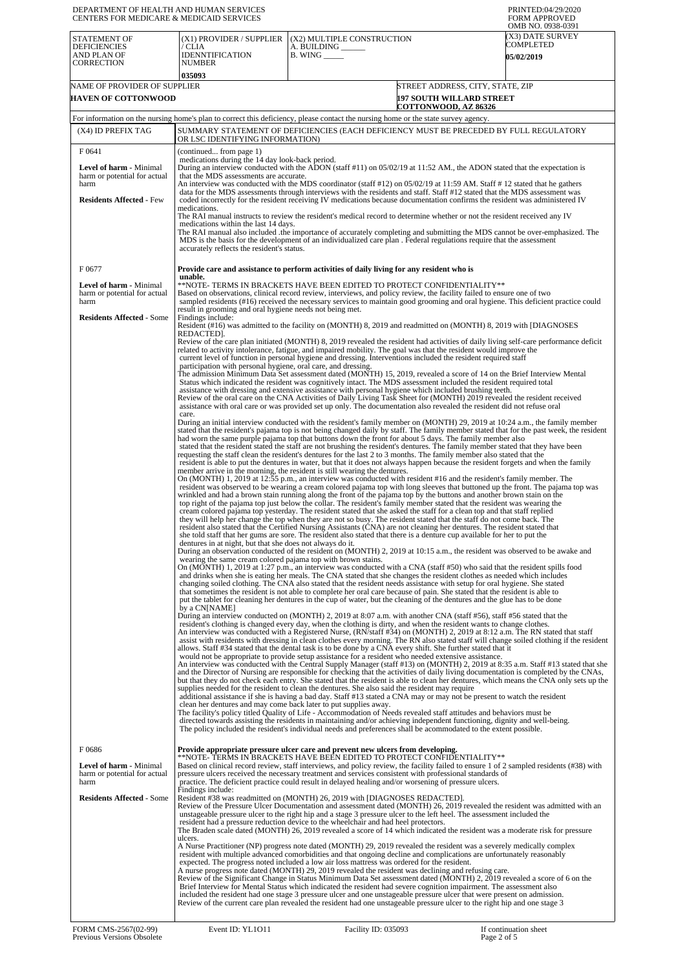| DEPARTMENT OF HEALTH AND HUMAN SERVICES<br>CENTERS FOR MEDICARE & MEDICAID SERVICES                          |                                                                                                                                                                                                                                                                                                                                                                                                                                                                                                                                                                                                                                                                                                                                                                                                                                                                                                                                                                                                                                                                                                                                     |                                                                                                                                                                                                                                                                                                                                                                                                                                                                                                                                                                                                                                                                                                                                                                                                                                                                                                                                                                                                                                                                                                                                                                                                                                                                                                                                                                                                                                                                                                                                                                                                                                                                                                                                                                                                                                                                                                                                                                                                                                                                                                                                                                                                                                                                                                                                                                                                                                                                                                                                                                                                                                                                                                                                                                                                                                                                                                                                                                                                                                                                                                                                                                                                                                                                                                                                                                                                                                                                                                                                                                                                                                                                                                                                                                                                                                                                                                                                                                                                                                                                                                                                                                                                                                                                                                                                                                                                                                                                                                                                                                                              | PRINTED:04/29/2020<br><b>FORM APPROVED</b>                              |
|--------------------------------------------------------------------------------------------------------------|-------------------------------------------------------------------------------------------------------------------------------------------------------------------------------------------------------------------------------------------------------------------------------------------------------------------------------------------------------------------------------------------------------------------------------------------------------------------------------------------------------------------------------------------------------------------------------------------------------------------------------------------------------------------------------------------------------------------------------------------------------------------------------------------------------------------------------------------------------------------------------------------------------------------------------------------------------------------------------------------------------------------------------------------------------------------------------------------------------------------------------------|----------------------------------------------------------------------------------------------------------------------------------------------------------------------------------------------------------------------------------------------------------------------------------------------------------------------------------------------------------------------------------------------------------------------------------------------------------------------------------------------------------------------------------------------------------------------------------------------------------------------------------------------------------------------------------------------------------------------------------------------------------------------------------------------------------------------------------------------------------------------------------------------------------------------------------------------------------------------------------------------------------------------------------------------------------------------------------------------------------------------------------------------------------------------------------------------------------------------------------------------------------------------------------------------------------------------------------------------------------------------------------------------------------------------------------------------------------------------------------------------------------------------------------------------------------------------------------------------------------------------------------------------------------------------------------------------------------------------------------------------------------------------------------------------------------------------------------------------------------------------------------------------------------------------------------------------------------------------------------------------------------------------------------------------------------------------------------------------------------------------------------------------------------------------------------------------------------------------------------------------------------------------------------------------------------------------------------------------------------------------------------------------------------------------------------------------------------------------------------------------------------------------------------------------------------------------------------------------------------------------------------------------------------------------------------------------------------------------------------------------------------------------------------------------------------------------------------------------------------------------------------------------------------------------------------------------------------------------------------------------------------------------------------------------------------------------------------------------------------------------------------------------------------------------------------------------------------------------------------------------------------------------------------------------------------------------------------------------------------------------------------------------------------------------------------------------------------------------------------------------------------------------------------------------------------------------------------------------------------------------------------------------------------------------------------------------------------------------------------------------------------------------------------------------------------------------------------------------------------------------------------------------------------------------------------------------------------------------------------------------------------------------------------------------------------------------------------------------------------------------------------------------------------------------------------------------------------------------------------------------------------------------------------------------------------------------------------------------------------------------------------------------------------------------------------------------------------------------------------------------------------------------------------------------------------------------------------------------|-------------------------------------------------------------------------|
| <b>STATEMENT OF</b><br><b>DEFICIENCIES</b><br>AND PLAN OF<br><b>CORRECTION</b>                               | (X1) PROVIDER / SUPPLIER<br>/ CLIA<br><b>IDENNTIFICATION</b><br><b>NUMBER</b>                                                                                                                                                                                                                                                                                                                                                                                                                                                                                                                                                                                                                                                                                                                                                                                                                                                                                                                                                                                                                                                       | (X2) MULTIPLE CONSTRUCTION<br>A. BUILDING<br>$B.$ WING $\_\_\_\_\_\_\$                                                                                                                                                                                                                                                                                                                                                                                                                                                                                                                                                                                                                                                                                                                                                                                                                                                                                                                                                                                                                                                                                                                                                                                                                                                                                                                                                                                                                                                                                                                                                                                                                                                                                                                                                                                                                                                                                                                                                                                                                                                                                                                                                                                                                                                                                                                                                                                                                                                                                                                                                                                                                                                                                                                                                                                                                                                                                                                                                                                                                                                                                                                                                                                                                                                                                                                                                                                                                                                                                                                                                                                                                                                                                                                                                                                                                                                                                                                                                                                                                                                                                                                                                                                                                                                                                                                                                                                                                                                                                                                       | OMB NO. 0938-0391<br>(X3) DATE SURVEY<br>COMPLETED<br><b>05/02/2019</b> |
| NAME OF PROVIDER OF SUPPLIER<br><b>HAVEN OF COTTONWOOD</b>                                                   | 035093                                                                                                                                                                                                                                                                                                                                                                                                                                                                                                                                                                                                                                                                                                                                                                                                                                                                                                                                                                                                                                                                                                                              | COTTONWOOD, AZ 86326                                                                                                                                                                                                                                                                                                                                                                                                                                                                                                                                                                                                                                                                                                                                                                                                                                                                                                                                                                                                                                                                                                                                                                                                                                                                                                                                                                                                                                                                                                                                                                                                                                                                                                                                                                                                                                                                                                                                                                                                                                                                                                                                                                                                                                                                                                                                                                                                                                                                                                                                                                                                                                                                                                                                                                                                                                                                                                                                                                                                                                                                                                                                                                                                                                                                                                                                                                                                                                                                                                                                                                                                                                                                                                                                                                                                                                                                                                                                                                                                                                                                                                                                                                                                                                                                                                                                                                                                                                                                                                                                                                         | STREET ADDRESS, CITY, STATE, ZIP<br><b>197 SOUTH WILLARD STREET</b>     |
|                                                                                                              |                                                                                                                                                                                                                                                                                                                                                                                                                                                                                                                                                                                                                                                                                                                                                                                                                                                                                                                                                                                                                                                                                                                                     | For information on the nursing home's plan to correct this deficiency, please contact the nursing home or the state survey agency.                                                                                                                                                                                                                                                                                                                                                                                                                                                                                                                                                                                                                                                                                                                                                                                                                                                                                                                                                                                                                                                                                                                                                                                                                                                                                                                                                                                                                                                                                                                                                                                                                                                                                                                                                                                                                                                                                                                                                                                                                                                                                                                                                                                                                                                                                                                                                                                                                                                                                                                                                                                                                                                                                                                                                                                                                                                                                                                                                                                                                                                                                                                                                                                                                                                                                                                                                                                                                                                                                                                                                                                                                                                                                                                                                                                                                                                                                                                                                                                                                                                                                                                                                                                                                                                                                                                                                                                                                                                           |                                                                         |
| (X4) ID PREFIX TAG                                                                                           | OR LSC IDENTIFYING INFORMATION)                                                                                                                                                                                                                                                                                                                                                                                                                                                                                                                                                                                                                                                                                                                                                                                                                                                                                                                                                                                                                                                                                                     | SUMMARY STATEMENT OF DEFICIENCIES (EACH DEFICIENCY MUST BE PRECEDED BY FULL REGULATORY                                                                                                                                                                                                                                                                                                                                                                                                                                                                                                                                                                                                                                                                                                                                                                                                                                                                                                                                                                                                                                                                                                                                                                                                                                                                                                                                                                                                                                                                                                                                                                                                                                                                                                                                                                                                                                                                                                                                                                                                                                                                                                                                                                                                                                                                                                                                                                                                                                                                                                                                                                                                                                                                                                                                                                                                                                                                                                                                                                                                                                                                                                                                                                                                                                                                                                                                                                                                                                                                                                                                                                                                                                                                                                                                                                                                                                                                                                                                                                                                                                                                                                                                                                                                                                                                                                                                                                                                                                                                                                       |                                                                         |
| F 0641<br>Level of harm - Minimal<br>harm or potential for actual<br>harm<br><b>Residents Affected - Few</b> | (continued from page 1)<br>medications during the 14 day look-back period.<br>During an interview conducted with the ADON (staff #11) on 05/02/19 at 11:52 AM, the ADON stated that the expectation is<br>that the MDS assessments are accurate.<br>An interview was conducted with the MDS coordinator (staff #12) on 05/02/19 at 11:59 AM. Staff #12 stated that he gathers<br>data for the MDS assessments through interviews with the residents and staff. Staff #12 stated that the MDS assessment was<br>coded incorrectly for the resident receiving IV medications because documentation confirms the resident was administered IV<br>medications.<br>The RAI manual instructs to review the resident's medical record to determine whether or not the resident received any IV<br>medications within the last 14 days.<br>The RAI manual also included the importance of accurately completing and submitting the MDS cannot be over-emphasized. The<br>MDS is the basis for the development of an individualized care plan. Federal regulations require that the assessment<br>accurately reflects the resident's status. |                                                                                                                                                                                                                                                                                                                                                                                                                                                                                                                                                                                                                                                                                                                                                                                                                                                                                                                                                                                                                                                                                                                                                                                                                                                                                                                                                                                                                                                                                                                                                                                                                                                                                                                                                                                                                                                                                                                                                                                                                                                                                                                                                                                                                                                                                                                                                                                                                                                                                                                                                                                                                                                                                                                                                                                                                                                                                                                                                                                                                                                                                                                                                                                                                                                                                                                                                                                                                                                                                                                                                                                                                                                                                                                                                                                                                                                                                                                                                                                                                                                                                                                                                                                                                                                                                                                                                                                                                                                                                                                                                                                              |                                                                         |
| F0677<br>Level of harm - Minimal<br>harm or potential for actual<br>harm<br><b>Residents Affected - Some</b> | unable.<br>result in grooming and oral hygiene needs not being met.<br>Findings include:<br>REDACTED].<br>participation with personal hygiene, oral care, and dressing.                                                                                                                                                                                                                                                                                                                                                                                                                                                                                                                                                                                                                                                                                                                                                                                                                                                                                                                                                             | Provide care and assistance to perform activities of daily living for any resident who is<br>**NOTE- TERMS IN BRACKETS HAVE BEEN EDITED TO PROTECT CONFIDENTIALITY**<br>Based on observations, clinical record review, interviews, and policy review, the facility failed to ensure one of two<br>sampled residents (#16) received the necessary services to maintain good grooming and oral hygiene. This deficient practice could<br>Resident (#16) was admitted to the facility on (MONTH) 8, 2019 and readmitted on (MONTH) 8, 2019 with [DIAGNOSES<br>Review of the care plan initiated (MONTH) 8, 2019 revealed the resident had activities of daily living self-care performance deficit<br>related to activity intolerance, fatigue, and impaired mobility. The goal was that the resident would improve the<br>current level of function in personal hygiene and dressing. Interventions included the resident required staff<br>The admission Minimum Data Set assessment dated (MONTH) 15, 2019, revealed a score of 14 on the Brief Interview Mental<br>Status which indicated the resident was cognitively intact. The MDS assessment included the resident required total<br>assistance with dressing and extensive assistance with personal hygiene which included brushing teeth.<br>Review of the oral care on the CNA Activities of Daily Living Task Sheet for (MONTH) 2019 revealed the resident received                                                                                                                                                                                                                                                                                                                                                                                                                                                                                                                                                                                                                                                                                                                                                                                                                                                                                                                                                                                                                                                                                                                                                                                                                                                                                                                                                                                                                                                                                                                                                                                                                                                                                                                                                                                                                                                                                                                                                                                                                                                                                                                                                                                                                                                                                                                                                                                                                                                                                                                                                                                                                                                                                                                                                                                                                                                                                                                                                                                                                                                                                                                                                                |                                                                         |
|                                                                                                              | care.<br>dentures in at night, but that she does not always do it.<br>wearing the same cream colored pajama top with brown stains.<br>by a CNINAME1<br>clean her dentures and may come back later to put supplies away.                                                                                                                                                                                                                                                                                                                                                                                                                                                                                                                                                                                                                                                                                                                                                                                                                                                                                                             | assistance with oral care or was provided set up only. The documentation also revealed the resident did not refuse oral<br>During an initial interview conducted with the resident's family member on (MONTH) 29, 2019 at 10:24 a.m., the family member<br>stated that the resident's pajama top is not being changed daily by staff. The family member stated that for the past week, the resident<br>had worn the same purple pajama top that buttons down the front for about 5 days. The family member also<br>stated that the resident stated the staff are not brushing the resident's dentures. The family member stated that they have been<br>requesting the staff clean the resident's dentures for the last 2 to 3 months. The family member also stated that the<br>resident is able to put the dentures in water, but that it does not always happen because the resident forgets and when the family<br>member arrive in the morning, the resident is still wearing the dentures.<br>On (MONTH) 1, 2019 at 12:55 p.m., an interview was conducted with resident #16 and the resident's family member. The<br>resident was observed to be wearing a cream colored pajama top with long sleeves that buttoned up the front. The pajama top was<br>wrinkled and had a brown stain running along the front of the pajama top by the buttons and another brown stain on the<br>top right of the pajama top just below the collar. The resident's family member stated that the resident was wearing the<br>cream colored pajama top yesterday. The resident stated that she asked the staff for a clean top and that staff replied<br>they will help her change the top when they are not so busy. The resident stated that the staff do not come back. The<br>resident also stated that the Certified Nursing Assistants (CNA) are not cleaning her dentures. The resident stated that<br>she told staff that her gums are sore. The resident also stated that there is a denture cup available for her to put the<br>During an observation conducted of the resident on (MONTH) 2, 2019 at 10:15 a.m., the resident was observed to be awake and<br>On (MONTH) 1, 2019 at 1:27 p.m., an interview was conducted with a CNA (staff #50) who said that the resident spills food<br>and drinks when she is eating her meals. The CNA stated that she changes the resident clothes as needed which includes<br>changing soiled clothing. The CNA also stated that the resident needs assistance with setup for oral hygiene. She stated<br>that sometimes the resident is not able to complete her oral care because of pain. She stated that the resident is able to<br>put the tablet for cleaning her dentures in the cup of water, but the cleaning of the dentures and the glue has to be done<br>During an interview conducted on (MONTH) 2, 2019 at 8:07 a.m. with another CNA (staff #56), staff #56 stated that the<br>resident's clothing is changed every day, when the clothing is dirty, and when the resident wants to change clothes.<br>An interview was conducted with a Registered Nurse, (RN/staff #34) on (MONTH) 2, 2019 at 8:12 a.m. The RN stated that staff<br>assist with residents with dressing in clean clothes every morning. The RN also stated staff will change soiled clothing if the resident<br>allows. Staff #34 stated that the dental task is to be done by a CNA every shift. She further stated that it<br>would not be appropriate to provide setup assistance for a resident who needed extensive assistance.<br>An interview was conducted with the Central Supply Manager (staff #13) on (MONTH) 2, 2019 at 8:35 a.m. Staff #13 stated that she<br>and the Director of Nursing are responsible for checking that the activities of daily living documentation is completed by the CNAs,<br>but that they do not check each entry. She stated that the resident is able to clean her dentures, which means the CNA only sets up the<br>supplies needed for the resident to clean the dentures. She also said the resident may require<br>additional assistance if she is having a bad day. Staff #13 stated a CNA may or may not be present to watch the resident<br>The facility's policy titled Quality of Life - Accommodation of Needs revealed staff attitudes and behaviors must be<br>directed towards assisting the residents in maintaining and/or achieving independent functioning, dignity and well-being.<br>The policy included the resident's individual needs and preferences shall be acommodated to the extent possible. |                                                                         |
| F0686<br>Level of harm - Minimal<br>harm or potential for actual<br>harm<br><b>Residents Affected - Some</b> | Findings include:<br>ulcers.                                                                                                                                                                                                                                                                                                                                                                                                                                                                                                                                                                                                                                                                                                                                                                                                                                                                                                                                                                                                                                                                                                        | Provide appropriate pressure ulcer care and prevent new ulcers from developing.<br>**NOTE- TERMS IN BRACKETS HAVE BEEN EDITED TO PROTECT CONFIDENTIALITY**<br>Based on clinical record review, staff interviews, and policy review, the facility failed to ensure 1 of 2 sampled residents (#38) with<br>pressure ulcers received the necessary treatment and services consistent with professional standards of<br>practice. The deficient practice could result in delayed healing and/or worsening of pressure ulcers.<br>Resident #38 was readmitted on (MONTH) 26, 2019 with [DIAGNOSES REDACTED].<br>Review of the Pressure Ulcer Documentation and assessment dated (MONTH) 26, 2019 revealed the resident was admitted with an<br>unstageable pressure ulcer to the right hip and a stage 3 pressure ulcer to the left heel. The assessment included the<br>resident had a pressure reduction device to the wheelchair and had heel protectors.<br>The Braden scale dated (MONTH) 26, 2019 revealed a score of 14 which indicated the resident was a moderate risk for pressure<br>A Nurse Practitioner (NP) progress note dated (MONTH) 29, 2019 revealed the resident was a severely medically complex<br>resident with multiple advanced comorbidities and that ongoing decline and complications are unfortunately reasonably<br>expected. The progress noted included a low air loss mattress was ordered for the resident.<br>A nurse progress note dated (MONTH) 29, 2019 revealed the resident was declining and refusing care.<br>Review of the Significant Change in Status Minimum Data Set assessment dated (MONTH) 2, 2019 revealed a score of 6 on the<br>Brief Interview for Mental Status which indicated the resident had severe cognition impairment. The assessment also<br>included the resident had one stage 3 pressure ulcer and one unstageable pressure ulcer that were present on admission.<br>Review of the current care plan revealed the resident had one unstageable pressure ulcer to the right hip and one stage 3                                                                                                                                                                                                                                                                                                                                                                                                                                                                                                                                                                                                                                                                                                                                                                                                                                                                                                                                                                                                                                                                                                                                                                                                                                                                                                                                                                                                                                                                                                                                                                                                                                                                                                                                                                                                                                                                                                                                                                                                                                                                                                                                                                                                                                                                                                                                                                                                                                                                                                                                  |                                                                         |
| FORM CMS-2567(02-99)                                                                                         | Event ID: YL1011                                                                                                                                                                                                                                                                                                                                                                                                                                                                                                                                                                                                                                                                                                                                                                                                                                                                                                                                                                                                                                                                                                                    | Facility ID: 035093                                                                                                                                                                                                                                                                                                                                                                                                                                                                                                                                                                                                                                                                                                                                                                                                                                                                                                                                                                                                                                                                                                                                                                                                                                                                                                                                                                                                                                                                                                                                                                                                                                                                                                                                                                                                                                                                                                                                                                                                                                                                                                                                                                                                                                                                                                                                                                                                                                                                                                                                                                                                                                                                                                                                                                                                                                                                                                                                                                                                                                                                                                                                                                                                                                                                                                                                                                                                                                                                                                                                                                                                                                                                                                                                                                                                                                                                                                                                                                                                                                                                                                                                                                                                                                                                                                                                                                                                                                                                                                                                                                          | If continuation sheet                                                   |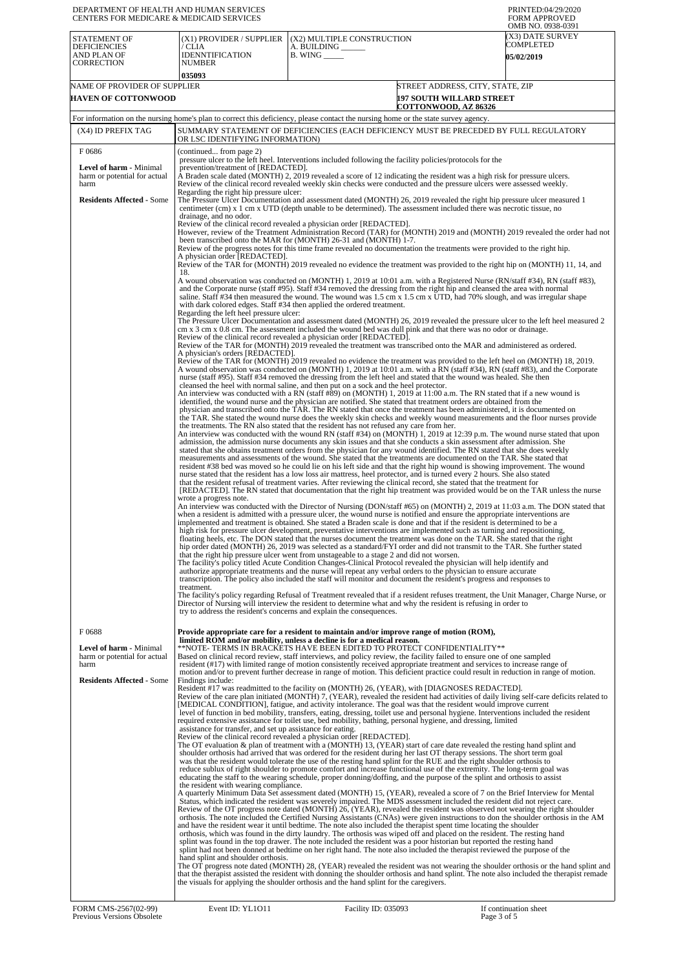| DEPARTMENT OF HEALTH AND HUMAN SERVICES<br>CENTERS FOR MEDICARE & MEDICAID SERVICES                          |                                                                                                                                                                                                                                                                                                                                                                                                        |                                                                                                                                                                                                                                                                                                                                                                                                                                                                                                                                                                                                                                                                                                                                                                                                                                                                                                                                                                                                                                                                                                                                                                                                                                                                                                                                                                                                                                                                                                                                                                                                                                                                                                                                                                                                                                                                                                                                                                                                                                                                                                                                                                                                                                                                                                                                                                                                                                                                                                                                                                                                                                                                                                                                                                                                                                                                                                                                                                                                                                                                                                                                                                                                                                                                                                                                                                                                                                                                                                                                                                                                                                                                                                                                                                                                                                                                                                                                                                                                                                                                                                                                                                                                                                                                                                                                                                                                                                                                                                                                                                                                           | PRINTED:04/29/2020<br><b>FORM APPROVED</b><br>OMB NO. 0938-0391                                                                                                                                                                                                                                                                                                                                                                                                                                                                                               |
|--------------------------------------------------------------------------------------------------------------|--------------------------------------------------------------------------------------------------------------------------------------------------------------------------------------------------------------------------------------------------------------------------------------------------------------------------------------------------------------------------------------------------------|-----------------------------------------------------------------------------------------------------------------------------------------------------------------------------------------------------------------------------------------------------------------------------------------------------------------------------------------------------------------------------------------------------------------------------------------------------------------------------------------------------------------------------------------------------------------------------------------------------------------------------------------------------------------------------------------------------------------------------------------------------------------------------------------------------------------------------------------------------------------------------------------------------------------------------------------------------------------------------------------------------------------------------------------------------------------------------------------------------------------------------------------------------------------------------------------------------------------------------------------------------------------------------------------------------------------------------------------------------------------------------------------------------------------------------------------------------------------------------------------------------------------------------------------------------------------------------------------------------------------------------------------------------------------------------------------------------------------------------------------------------------------------------------------------------------------------------------------------------------------------------------------------------------------------------------------------------------------------------------------------------------------------------------------------------------------------------------------------------------------------------------------------------------------------------------------------------------------------------------------------------------------------------------------------------------------------------------------------------------------------------------------------------------------------------------------------------------------------------------------------------------------------------------------------------------------------------------------------------------------------------------------------------------------------------------------------------------------------------------------------------------------------------------------------------------------------------------------------------------------------------------------------------------------------------------------------------------------------------------------------------------------------------------------------------------------------------------------------------------------------------------------------------------------------------------------------------------------------------------------------------------------------------------------------------------------------------------------------------------------------------------------------------------------------------------------------------------------------------------------------------------------------------------------------------------------------------------------------------------------------------------------------------------------------------------------------------------------------------------------------------------------------------------------------------------------------------------------------------------------------------------------------------------------------------------------------------------------------------------------------------------------------------------------------------------------------------------------------------------------------------------------------------------------------------------------------------------------------------------------------------------------------------------------------------------------------------------------------------------------------------------------------------------------------------------------------------------------------------------------------------------------------------------------------------------------------------------------------------------|---------------------------------------------------------------------------------------------------------------------------------------------------------------------------------------------------------------------------------------------------------------------------------------------------------------------------------------------------------------------------------------------------------------------------------------------------------------------------------------------------------------------------------------------------------------|
| <b>STATEMENT OF</b><br><b>DEFICIENCIES</b><br>AND PLAN OF<br><b>CORRECTION</b>                               | (X1) PROVIDER / SUPPLIER<br>/ CLIA<br><b>IDENNTIFICATION</b><br><b>NUMBER</b>                                                                                                                                                                                                                                                                                                                          | (X2) MULTIPLE CONSTRUCTION<br>A. BUILDING ______<br>B. WING                                                                                                                                                                                                                                                                                                                                                                                                                                                                                                                                                                                                                                                                                                                                                                                                                                                                                                                                                                                                                                                                                                                                                                                                                                                                                                                                                                                                                                                                                                                                                                                                                                                                                                                                                                                                                                                                                                                                                                                                                                                                                                                                                                                                                                                                                                                                                                                                                                                                                                                                                                                                                                                                                                                                                                                                                                                                                                                                                                                                                                                                                                                                                                                                                                                                                                                                                                                                                                                                                                                                                                                                                                                                                                                                                                                                                                                                                                                                                                                                                                                                                                                                                                                                                                                                                                                                                                                                                                                                                                                                               | (X3) DATE SURVEY<br>COMPLETED<br><b>05/02/2019</b>                                                                                                                                                                                                                                                                                                                                                                                                                                                                                                            |
|                                                                                                              | 035093                                                                                                                                                                                                                                                                                                                                                                                                 |                                                                                                                                                                                                                                                                                                                                                                                                                                                                                                                                                                                                                                                                                                                                                                                                                                                                                                                                                                                                                                                                                                                                                                                                                                                                                                                                                                                                                                                                                                                                                                                                                                                                                                                                                                                                                                                                                                                                                                                                                                                                                                                                                                                                                                                                                                                                                                                                                                                                                                                                                                                                                                                                                                                                                                                                                                                                                                                                                                                                                                                                                                                                                                                                                                                                                                                                                                                                                                                                                                                                                                                                                                                                                                                                                                                                                                                                                                                                                                                                                                                                                                                                                                                                                                                                                                                                                                                                                                                                                                                                                                                                           |                                                                                                                                                                                                                                                                                                                                                                                                                                                                                                                                                               |
| NAME OF PROVIDER OF SUPPLIER<br><b>HAVEN OF COTTONWOOD</b>                                                   |                                                                                                                                                                                                                                                                                                                                                                                                        |                                                                                                                                                                                                                                                                                                                                                                                                                                                                                                                                                                                                                                                                                                                                                                                                                                                                                                                                                                                                                                                                                                                                                                                                                                                                                                                                                                                                                                                                                                                                                                                                                                                                                                                                                                                                                                                                                                                                                                                                                                                                                                                                                                                                                                                                                                                                                                                                                                                                                                                                                                                                                                                                                                                                                                                                                                                                                                                                                                                                                                                                                                                                                                                                                                                                                                                                                                                                                                                                                                                                                                                                                                                                                                                                                                                                                                                                                                                                                                                                                                                                                                                                                                                                                                                                                                                                                                                                                                                                                                                                                                                                           | STREET ADDRESS, CITY, STATE, ZIP<br><b>197 SOUTH WILLARD STREET</b>                                                                                                                                                                                                                                                                                                                                                                                                                                                                                           |
|                                                                                                              |                                                                                                                                                                                                                                                                                                                                                                                                        | For information on the nursing home's plan to correct this deficiency, please contact the nursing home or the state survey agency.                                                                                                                                                                                                                                                                                                                                                                                                                                                                                                                                                                                                                                                                                                                                                                                                                                                                                                                                                                                                                                                                                                                                                                                                                                                                                                                                                                                                                                                                                                                                                                                                                                                                                                                                                                                                                                                                                                                                                                                                                                                                                                                                                                                                                                                                                                                                                                                                                                                                                                                                                                                                                                                                                                                                                                                                                                                                                                                                                                                                                                                                                                                                                                                                                                                                                                                                                                                                                                                                                                                                                                                                                                                                                                                                                                                                                                                                                                                                                                                                                                                                                                                                                                                                                                                                                                                                                                                                                                                                        | COTTONWOOD, AZ 86326                                                                                                                                                                                                                                                                                                                                                                                                                                                                                                                                          |
| (X4) ID PREFIX TAG                                                                                           |                                                                                                                                                                                                                                                                                                                                                                                                        | SUMMARY STATEMENT OF DEFICIENCIES (EACH DEFICIENCY MUST BE PRECEDED BY FULL REGULATORY                                                                                                                                                                                                                                                                                                                                                                                                                                                                                                                                                                                                                                                                                                                                                                                                                                                                                                                                                                                                                                                                                                                                                                                                                                                                                                                                                                                                                                                                                                                                                                                                                                                                                                                                                                                                                                                                                                                                                                                                                                                                                                                                                                                                                                                                                                                                                                                                                                                                                                                                                                                                                                                                                                                                                                                                                                                                                                                                                                                                                                                                                                                                                                                                                                                                                                                                                                                                                                                                                                                                                                                                                                                                                                                                                                                                                                                                                                                                                                                                                                                                                                                                                                                                                                                                                                                                                                                                                                                                                                                    |                                                                                                                                                                                                                                                                                                                                                                                                                                                                                                                                                               |
| F0686                                                                                                        | OR LSC IDENTIFYING INFORMATION)<br>(continued from page 2)                                                                                                                                                                                                                                                                                                                                             |                                                                                                                                                                                                                                                                                                                                                                                                                                                                                                                                                                                                                                                                                                                                                                                                                                                                                                                                                                                                                                                                                                                                                                                                                                                                                                                                                                                                                                                                                                                                                                                                                                                                                                                                                                                                                                                                                                                                                                                                                                                                                                                                                                                                                                                                                                                                                                                                                                                                                                                                                                                                                                                                                                                                                                                                                                                                                                                                                                                                                                                                                                                                                                                                                                                                                                                                                                                                                                                                                                                                                                                                                                                                                                                                                                                                                                                                                                                                                                                                                                                                                                                                                                                                                                                                                                                                                                                                                                                                                                                                                                                                           |                                                                                                                                                                                                                                                                                                                                                                                                                                                                                                                                                               |
| Level of harm - Minimal<br>harm or potential for actual<br>harm                                              | pressure ulcer to the left heel. Interventions included following the facility policies/protocols for the<br>prevention/treatment of [REDACTED].<br>A Braden scale dated (MONTH) 2, 2019 revealed a score of 12 indicating the resident was a high risk for pressure ulcers.<br>Review of the clinical record revealed weekly skin checks were conducted and the pressure ulcers were assessed weekly. |                                                                                                                                                                                                                                                                                                                                                                                                                                                                                                                                                                                                                                                                                                                                                                                                                                                                                                                                                                                                                                                                                                                                                                                                                                                                                                                                                                                                                                                                                                                                                                                                                                                                                                                                                                                                                                                                                                                                                                                                                                                                                                                                                                                                                                                                                                                                                                                                                                                                                                                                                                                                                                                                                                                                                                                                                                                                                                                                                                                                                                                                                                                                                                                                                                                                                                                                                                                                                                                                                                                                                                                                                                                                                                                                                                                                                                                                                                                                                                                                                                                                                                                                                                                                                                                                                                                                                                                                                                                                                                                                                                                                           |                                                                                                                                                                                                                                                                                                                                                                                                                                                                                                                                                               |
| <b>Residents Affected - Some</b>                                                                             | Regarding the right hip pressure ulcer:<br>The Pressure Ulcer Documentation and assessment dated (MONTH) 26, 2019 revealed the right hip pressure ulcer measured 1<br>centimeter (cm) x 1 cm x UTD (depth unable to be determined). The assessment included there was necrotic tissue, no<br>drainage, and no odor.                                                                                    |                                                                                                                                                                                                                                                                                                                                                                                                                                                                                                                                                                                                                                                                                                                                                                                                                                                                                                                                                                                                                                                                                                                                                                                                                                                                                                                                                                                                                                                                                                                                                                                                                                                                                                                                                                                                                                                                                                                                                                                                                                                                                                                                                                                                                                                                                                                                                                                                                                                                                                                                                                                                                                                                                                                                                                                                                                                                                                                                                                                                                                                                                                                                                                                                                                                                                                                                                                                                                                                                                                                                                                                                                                                                                                                                                                                                                                                                                                                                                                                                                                                                                                                                                                                                                                                                                                                                                                                                                                                                                                                                                                                                           |                                                                                                                                                                                                                                                                                                                                                                                                                                                                                                                                                               |
|                                                                                                              | A physician order [REDACTED].<br>18.<br>Regarding the left heel pressure ulcer:<br>A physician's orders [REDACTED].<br>wrote a progress note.<br>treatment.                                                                                                                                                                                                                                            | Review of the clinical record revealed a physician order [REDACTED].<br>been transcribed onto the MAR for (MONTH) 26-31 and (MONTH) 1-7.<br>Review of the progress notes for this time frame revealed no documentation the treatments were provided to the right hip.<br>Review of the TAR for (MONTH) 2019 revealed no evidence the treatment was provided to the right hip on (MONTH) 11, 14, and<br>A wound observation was conducted on (MONTH) 1, 2019 at 10:01 a.m. with a Registered Nurse (RN/staff #34), RN (staff #83),<br>and the Corporate nurse (staff #95). Staff #34 removed the dressing from the right hip and cleansed the area with normal<br>saline. Staff #34 then measured the wound. The wound was 1.5 cm x 1.5 cm x UTD, had 70% slough, and was irregular shape<br>with dark colored edges. Staff #34 then applied the ordered treatment.<br>cm x 3 cm x 0.8 cm. The assessment included the wound bed was dull pink and that there was no odor or drainage.<br>Review of the clinical record revealed a physician order [REDACTED].<br>Review of the TAR for (MONTH) 2019 revealed the treatment was transcribed onto the MAR and administered as ordered.<br>Review of the TAR for (MONTH) 2019 revealed no evidence the treatment was provided to the left heel on (MONTH) 18, 2019.<br>A wound observation was conducted on (MONTH) 1, 2019 at 10:01 a.m. with a RN (staff #34), RN (staff #83), and the Corporate<br>nurse (staff #95). Staff #34 removed the dressing from the left heel and stated that the wound was healed. She then<br>cleansed the heel with normal saline, and then put on a sock and the heel protector.<br>An interview was conducted with a RN (staff #89) on (MONTH) 1, 2019 at 11:00 a.m. The RN stated that if a new wound is<br>identified, the wound nurse and the physician are notified. She stated that treatment orders are obtained from the<br>physician and transcribed onto the TAR. The RN stated that once the treatment has been administered, it is documented on<br>the TAR. She stated the wound nurse does the weekly skin checks and weekly wound measurements and the floor nurses provide<br>the treatments. The RN also stated that the resident has not refused any care from her.<br>An interview was conducted with the wound RN (staff #34) on (MONTH) 1, 2019 at 12:39 p.m. The wound nurse stated that upon<br>admission, the admission nurse documents any skin issues and that she conducts a skin assessment after admission. She<br>stated that she obtains treatment orders from the physician for any wound identified. The RN stated that she does weekly<br>measurements and assessments of the wound. She stated that the treatments are documented on the TAR. She stated that<br>resident #38 bed was moved so he could lie on his left side and that the right hip wound is showing improvement. The wound<br>nurse stated that the resident has a low loss air mattress, heel protector, and is turned every 2 hours. She also stated<br>that the resident refusal of treatment varies. After reviewing the clinical record, she stated that the treatment for<br>[REDACTED]. The RN stated that documentation that the right hip treatment was provided would be on the TAR unless the nurse<br>when a resident is admitted with a pressure ulcer, the wound nurse is notified and ensure the appropriate interventions are<br>implemented and treatment is obtained. She stated a Braden scale is done and that if the resident is determined to be a<br>high risk for pressure ulcer development, preventative interventions are implemented such as turning and repositioning,<br>floating heels, etc. The DON stated that the nurses document the treatment was done on the TAR. She stated that the right<br>hip order dated (MONTH) 26, 2019 was selected as a standard/FYI order and did not transmit to the TAR. She further stated<br>that the right hip pressure ulcer went from unstageable to a stage 2 and did not worsen.<br>The facility's policy titled Acute Condition Changes-Clinical Protocol revealed the physician will help identify and<br>authorize appropriate treatments and the nurse will repeat any verbal orders to the physician to ensure accurate<br>transcription. The policy also included the staff will monitor and document the resident's progress and responses to<br>Director of Nursing will interview the resident to determine what and why the resident is refusing in order to<br>try to address the resident's concerns and explain the consequences. | However, review of the Treatment Administration Record (TAR) for (MONTH) 2019 and (MONTH) 2019 revealed the order had not<br>The Pressure Ulcer Documentation and assessment dated (MONTH) 26, 2019 revealed the pressure ulcer to the left heel measured 2<br>An interview was conducted with the Director of Nursing (DON/staff #65) on (MONTH) 2, 2019 at 11:03 a.m. The DON stated that<br>The facility's policy regarding Refusal of Treatment revealed that if a resident refuses treatment, the Unit Manager, Charge Nurse, or                         |
| F0688<br>Level of harm - Minimal<br>harm or potential for actual<br>harm<br><b>Residents Affected - Some</b> | Findings include:<br>assistance for transfer, and set up assistance for eating.<br>the resident with wearing compliance.<br>hand splint and shoulder orthosis.                                                                                                                                                                                                                                         | Provide appropriate care for a resident to maintain and/or improve range of motion (ROM).<br>limited ROM and/or mobility, unless a decline is for a medical reason.<br>**NOTE- TERMS IN BRACKETS HAVE BEEN EDITED TO PROTECT CONFIDENTIALITY**<br>Based on clinical record review, staff interviews, and policy review, the facility failed to ensure one of one sampled<br>resident (#17) with limited range of motion consistently received appropriate treatment and services to increase range of<br>motion and/or to prevent further decrease in range of motion. This deficient practice could result in reduction in range of motion.<br>Resident #17 was readmitted to the facility on (MONTH) 26, (YEAR), with [DIAGNOSES REDACTED].<br>[MEDICAL CONDITION], fatigue, and activity intolerance. The goal was that the resident would improve current<br>level of function in bed mobility, transfers, eating, dressing, toilet use and personal hygiene. Interventions included the resident<br>required extensive assistance for toilet use, bed mobility, bathing, personal hygiene, and dressing, limited<br>Review of the clinical record revealed a physician order [REDACTED].<br>The OT evaluation & plan of treatment with a (MONTH) 13, (YEAR) start of care date revealed the resting hand splint and<br>shoulder orthosis had arrived that was ordered for the resident during her last OT therapy sessions. The short term goal<br>was that the resident would tolerate the use of the resting hand splint for the RUE and the right shoulder orthosis to<br>reduce sublux of right shoulder to promote comfort and increase functional use of the extremity. The long-term goal was<br>educating the staff to the wearing schedule, proper donning/doffing, and the purpose of the splint and orthosis to assist<br>A quarterly Minimum Data Set assessment dated (MONTH) 15, (YEAR), revealed a score of 7 on the Brief Interview for Mental<br>Status, which indicated the resident was severely impaired. The MDS assessment included the resident did not reject care.<br>Review of the OT progress note dated (MONTH) 26, (YEAR), revealed the resident was observed not wearing the right shoulder<br>and have the resident wear it until bedtime. The note also included the therapist spent time locating the shoulder<br>orthosis, which was found in the dirty laundry. The orthosis was wiped off and placed on the resident. The resting hand<br>splint was found in the top drawer. The note included the resident was a poor historian but reported the resting hand<br>splint had not been donned at bedtime on her right hand. The note also included the therapist reviewed the purpose of the<br>the visuals for applying the shoulder orthosis and the hand splint for the caregivers.<br>Facility ID: 035093                                                                                                                                                                                                                                                                                                                                                                                                                                                                                                                                                                                                                                                                                                                                                                                                                                                                                                                                                                                                                                                                                                                                                                                                                                                                                                                                                                                                                                                                                                                                                                                                                                                                                                                                                    | Review of the care plan initiated (MONTH) 7, (YEAR), revealed the resident had activities of daily living self-care deficits related to<br>orthosis. The note included the Certified Nursing Assistants (CNAs) were given instructions to don the shoulder orthosis in the AM<br>The OT progress note dated (MONTH) 28, (YEAR) revealed the resident was not wearing the shoulder orthosis or the hand splint and<br>that the therapist assisted the resident with donning the shoulder orthosis and hand splint. The note also included the therapist remade |
| FORM CMS-2567(02-99)<br>Previous Versions Obsolete                                                           | Event ID: YL1011                                                                                                                                                                                                                                                                                                                                                                                       |                                                                                                                                                                                                                                                                                                                                                                                                                                                                                                                                                                                                                                                                                                                                                                                                                                                                                                                                                                                                                                                                                                                                                                                                                                                                                                                                                                                                                                                                                                                                                                                                                                                                                                                                                                                                                                                                                                                                                                                                                                                                                                                                                                                                                                                                                                                                                                                                                                                                                                                                                                                                                                                                                                                                                                                                                                                                                                                                                                                                                                                                                                                                                                                                                                                                                                                                                                                                                                                                                                                                                                                                                                                                                                                                                                                                                                                                                                                                                                                                                                                                                                                                                                                                                                                                                                                                                                                                                                                                                                                                                                                                           | If continuation sheet<br>Page 3 of 5                                                                                                                                                                                                                                                                                                                                                                                                                                                                                                                          |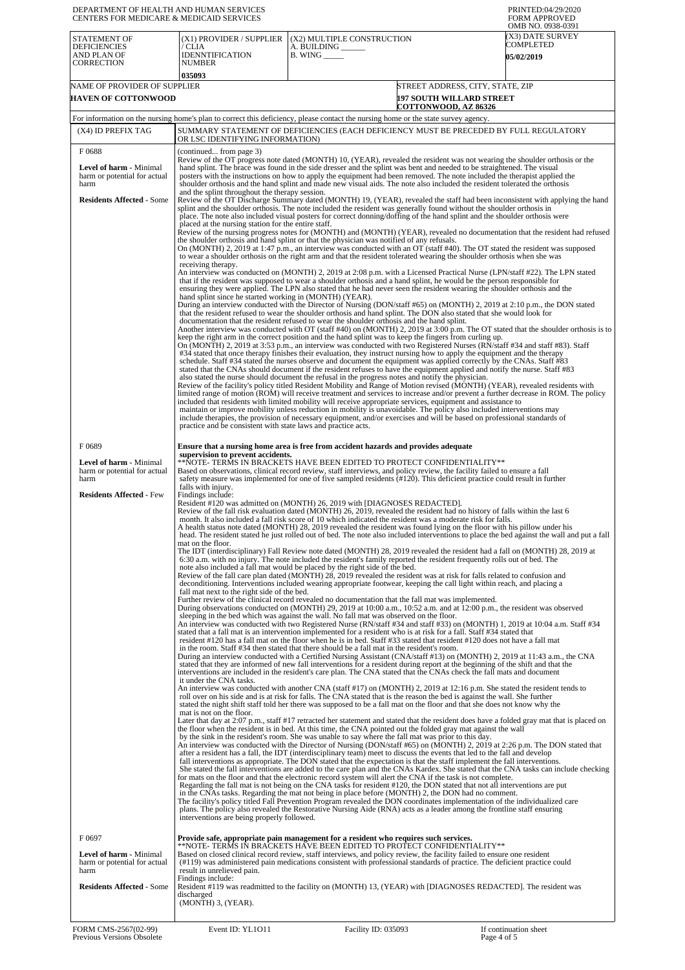| DEPARTMENT OF HEALTH AND HUMAN SERVICES<br>CENTERS FOR MEDICARE & MEDICAID SERVICES                                 |                                                                                                                                                                                                                                                                                                                                                                                                                                                                                                                                                                                                                                                                                                                                                                                                                                                                                                                                                                                                                                                                                                                                                                                                                                                                                                                                                                                                                                                                                                                                                                                                                                                                                                                                                                                                                                                                                                                                                                                                                                                                                                                                                                                                                                                                                                                                                                                                                                                                                                                                                                                                                                                                                                                                                                                                                                                                                                                                                                                                                                                                                                                                                                                                                                                                                                                                                                                                                                                                                                            |                                                                                                                                                                                                                                                                                                                                                                                                                                                                                                                                                                                                                                                                                                                                                                                                                                                                                                                                                                                                                                                                                                                                                                                                                                                                                                                                                                                                                                                                                                                                                                                                                                                                                                                                                                                                                                                                                                                                                                                                                                                                                                                                                                                                                                                                                                                                                                                                                                                                                                                                                                                                                                                                                                                                                                                                                                                                                                                                                                                                                                                                                                                                                                                                                                                                                                                                                                                                                                                                                                                                                                                                                                                                                                                                                                                                                                                                                                                                                                                                                                                                                                                                                                                                                                                                                                  | PRINTED:04/29/2020<br><b>FORM APPROVED</b><br>OMB NO. 0938-0391                                                                                                                                                                                                                                                                                                                                                                                                                                                                                                                                                                                                                                |
|---------------------------------------------------------------------------------------------------------------------|------------------------------------------------------------------------------------------------------------------------------------------------------------------------------------------------------------------------------------------------------------------------------------------------------------------------------------------------------------------------------------------------------------------------------------------------------------------------------------------------------------------------------------------------------------------------------------------------------------------------------------------------------------------------------------------------------------------------------------------------------------------------------------------------------------------------------------------------------------------------------------------------------------------------------------------------------------------------------------------------------------------------------------------------------------------------------------------------------------------------------------------------------------------------------------------------------------------------------------------------------------------------------------------------------------------------------------------------------------------------------------------------------------------------------------------------------------------------------------------------------------------------------------------------------------------------------------------------------------------------------------------------------------------------------------------------------------------------------------------------------------------------------------------------------------------------------------------------------------------------------------------------------------------------------------------------------------------------------------------------------------------------------------------------------------------------------------------------------------------------------------------------------------------------------------------------------------------------------------------------------------------------------------------------------------------------------------------------------------------------------------------------------------------------------------------------------------------------------------------------------------------------------------------------------------------------------------------------------------------------------------------------------------------------------------------------------------------------------------------------------------------------------------------------------------------------------------------------------------------------------------------------------------------------------------------------------------------------------------------------------------------------------------------------------------------------------------------------------------------------------------------------------------------------------------------------------------------------------------------------------------------------------------------------------------------------------------------------------------------------------------------------------------------------------------------------------------------------------------------------------------|--------------------------------------------------------------------------------------------------------------------------------------------------------------------------------------------------------------------------------------------------------------------------------------------------------------------------------------------------------------------------------------------------------------------------------------------------------------------------------------------------------------------------------------------------------------------------------------------------------------------------------------------------------------------------------------------------------------------------------------------------------------------------------------------------------------------------------------------------------------------------------------------------------------------------------------------------------------------------------------------------------------------------------------------------------------------------------------------------------------------------------------------------------------------------------------------------------------------------------------------------------------------------------------------------------------------------------------------------------------------------------------------------------------------------------------------------------------------------------------------------------------------------------------------------------------------------------------------------------------------------------------------------------------------------------------------------------------------------------------------------------------------------------------------------------------------------------------------------------------------------------------------------------------------------------------------------------------------------------------------------------------------------------------------------------------------------------------------------------------------------------------------------------------------------------------------------------------------------------------------------------------------------------------------------------------------------------------------------------------------------------------------------------------------------------------------------------------------------------------------------------------------------------------------------------------------------------------------------------------------------------------------------------------------------------------------------------------------------------------------------------------------------------------------------------------------------------------------------------------------------------------------------------------------------------------------------------------------------------------------------------------------------------------------------------------------------------------------------------------------------------------------------------------------------------------------------------------------------------------------------------------------------------------------------------------------------------------------------------------------------------------------------------------------------------------------------------------------------------------------------------------------------------------------------------------------------------------------------------------------------------------------------------------------------------------------------------------------------------------------------------------------------------------------------------------------------------------------------------------------------------------------------------------------------------------------------------------------------------------------------------------------------------------------------------------------------------------------------------------------------------------------------------------------------------------------------------------------------------------------------------------------------------------------------|------------------------------------------------------------------------------------------------------------------------------------------------------------------------------------------------------------------------------------------------------------------------------------------------------------------------------------------------------------------------------------------------------------------------------------------------------------------------------------------------------------------------------------------------------------------------------------------------------------------------------------------------------------------------------------------------|
| <b>STATEMENT OF</b><br><b>DEFICIENCIES</b><br>AND PLAN OF<br><b>CORRECTION</b>                                      | (X1) PROVIDER / SUPPLIER<br>/ CLIA<br><b>IDENNTIFICATION</b><br><b>NUMBER</b><br>035093                                                                                                                                                                                                                                                                                                                                                                                                                                                                                                                                                                                                                                                                                                                                                                                                                                                                                                                                                                                                                                                                                                                                                                                                                                                                                                                                                                                                                                                                                                                                                                                                                                                                                                                                                                                                                                                                                                                                                                                                                                                                                                                                                                                                                                                                                                                                                                                                                                                                                                                                                                                                                                                                                                                                                                                                                                                                                                                                                                                                                                                                                                                                                                                                                                                                                                                                                                                                                    | (X2) MULTIPLE CONSTRUCTION<br>A. BUILDING ______<br>$B.$ WING $\_\_\_\_\_\_\$                                                                                                                                                                                                                                                                                                                                                                                                                                                                                                                                                                                                                                                                                                                                                                                                                                                                                                                                                                                                                                                                                                                                                                                                                                                                                                                                                                                                                                                                                                                                                                                                                                                                                                                                                                                                                                                                                                                                                                                                                                                                                                                                                                                                                                                                                                                                                                                                                                                                                                                                                                                                                                                                                                                                                                                                                                                                                                                                                                                                                                                                                                                                                                                                                                                                                                                                                                                                                                                                                                                                                                                                                                                                                                                                                                                                                                                                                                                                                                                                                                                                                                                                                                                                                    | (X3) DATE SURVEY<br>COMPLETED<br><b>05/02/2019</b>                                                                                                                                                                                                                                                                                                                                                                                                                                                                                                                                                                                                                                             |
| NAME OF PROVIDER OF SUPPLIER<br><b>HAVEN OF COTTONWOOD</b>                                                          |                                                                                                                                                                                                                                                                                                                                                                                                                                                                                                                                                                                                                                                                                                                                                                                                                                                                                                                                                                                                                                                                                                                                                                                                                                                                                                                                                                                                                                                                                                                                                                                                                                                                                                                                                                                                                                                                                                                                                                                                                                                                                                                                                                                                                                                                                                                                                                                                                                                                                                                                                                                                                                                                                                                                                                                                                                                                                                                                                                                                                                                                                                                                                                                                                                                                                                                                                                                                                                                                                                            |                                                                                                                                                                                                                                                                                                                                                                                                                                                                                                                                                                                                                                                                                                                                                                                                                                                                                                                                                                                                                                                                                                                                                                                                                                                                                                                                                                                                                                                                                                                                                                                                                                                                                                                                                                                                                                                                                                                                                                                                                                                                                                                                                                                                                                                                                                                                                                                                                                                                                                                                                                                                                                                                                                                                                                                                                                                                                                                                                                                                                                                                                                                                                                                                                                                                                                                                                                                                                                                                                                                                                                                                                                                                                                                                                                                                                                                                                                                                                                                                                                                                                                                                                                                                                                                                                                  | STREET ADDRESS, CITY, STATE, ZIP<br><b>197 SOUTH WILLARD STREET</b><br>COTTONWOOD, AZ 86326                                                                                                                                                                                                                                                                                                                                                                                                                                                                                                                                                                                                    |
|                                                                                                                     |                                                                                                                                                                                                                                                                                                                                                                                                                                                                                                                                                                                                                                                                                                                                                                                                                                                                                                                                                                                                                                                                                                                                                                                                                                                                                                                                                                                                                                                                                                                                                                                                                                                                                                                                                                                                                                                                                                                                                                                                                                                                                                                                                                                                                                                                                                                                                                                                                                                                                                                                                                                                                                                                                                                                                                                                                                                                                                                                                                                                                                                                                                                                                                                                                                                                                                                                                                                                                                                                                                            | For information on the nursing home's plan to correct this deficiency, please contact the nursing home or the state survey agency.                                                                                                                                                                                                                                                                                                                                                                                                                                                                                                                                                                                                                                                                                                                                                                                                                                                                                                                                                                                                                                                                                                                                                                                                                                                                                                                                                                                                                                                                                                                                                                                                                                                                                                                                                                                                                                                                                                                                                                                                                                                                                                                                                                                                                                                                                                                                                                                                                                                                                                                                                                                                                                                                                                                                                                                                                                                                                                                                                                                                                                                                                                                                                                                                                                                                                                                                                                                                                                                                                                                                                                                                                                                                                                                                                                                                                                                                                                                                                                                                                                                                                                                                                               |                                                                                                                                                                                                                                                                                                                                                                                                                                                                                                                                                                                                                                                                                                |
| (X4) ID PREFIX TAG                                                                                                  | SUMMARY STATEMENT OF DEFICIENCIES (EACH DEFICIENCY MUST BE PRECEDED BY FULL REGULATORY<br>OR LSC IDENTIFYING INFORMATION)                                                                                                                                                                                                                                                                                                                                                                                                                                                                                                                                                                                                                                                                                                                                                                                                                                                                                                                                                                                                                                                                                                                                                                                                                                                                                                                                                                                                                                                                                                                                                                                                                                                                                                                                                                                                                                                                                                                                                                                                                                                                                                                                                                                                                                                                                                                                                                                                                                                                                                                                                                                                                                                                                                                                                                                                                                                                                                                                                                                                                                                                                                                                                                                                                                                                                                                                                                                  |                                                                                                                                                                                                                                                                                                                                                                                                                                                                                                                                                                                                                                                                                                                                                                                                                                                                                                                                                                                                                                                                                                                                                                                                                                                                                                                                                                                                                                                                                                                                                                                                                                                                                                                                                                                                                                                                                                                                                                                                                                                                                                                                                                                                                                                                                                                                                                                                                                                                                                                                                                                                                                                                                                                                                                                                                                                                                                                                                                                                                                                                                                                                                                                                                                                                                                                                                                                                                                                                                                                                                                                                                                                                                                                                                                                                                                                                                                                                                                                                                                                                                                                                                                                                                                                                                                  |                                                                                                                                                                                                                                                                                                                                                                                                                                                                                                                                                                                                                                                                                                |
| F0688<br><b>Level of harm - Minimal</b><br>harm or potential for actual<br>harm<br><b>Residents Affected - Some</b> | (continued from page 3)<br>Review of the OT progress note dated (MONTH) 10, (YEAR), revealed the resident was not wearing the shoulder orthosis or the<br>hand splint. The brace was found in the side dresser and the splint was bent and needed to be straightened. The visual<br>posters with the instructions on how to apply the equipment had been removed. The note included the therapist applied the<br>shoulder orthosis and the hand splint and made new visual aids. The note also included the resident tolerated the orthosis<br>and the splint throughout the therapy session.<br>Review of the OT Discharge Summary dated (MONTH) 19, (YEAR), revealed the staff had been inconsistent with applying the hand<br>splint and the shoulder orthosis. The note included the resident was generally found without the shoulder orthosis in<br>place. The note also included visual posters for correct donning/doffing of the hand splint and the shoulder orthosis were<br>placed at the nursing station for the entire staff.<br>Review of the nursing progress notes for (MONTH) and (MONTH) (YEAR), revealed no documentation that the resident had refused<br>the shoulder orthosis and hand splint or that the physician was notified of any refusals.<br>On (MONTH) 2, 2019 at 1:47 p.m., an interview was conducted with an OT (staff #40). The OT stated the resident was supposed<br>to wear a shoulder orthosis on the right arm and that the resident tolerated wearing the shoulder orthosis when she was<br>receiving therapy.<br>An interview was conducted on (MONTH) 2, 2019 at 2:08 p.m. with a Licensed Practical Nurse (LPN/staff #22). The LPN stated<br>that if the resident was supposed to wear a shoulder orthosis and a hand splint, he would be the person responsible for<br>ensuring they were applied. The LPN also stated that he had never seen the resident wearing the shoulder orthosis and the<br>hand splint since he started working in (MONTH) (YEAR).<br>During an interview conducted with the Director of Nursing (DON/staff #65) on (MONTH) 2, 2019 at 2:10 p.m., the DON stated<br>that the resident refused to wear the shoulder orthosis and hand splint. The DON also stated that she would look for<br>documentation that the resident refused to wear the shoulder orthosis and the hand splint.<br>Another interview was conducted with OT (staff #40) on (MONTH) 2, 2019 at 3:00 p.m. The OT stated that the shoulder orthosis is to<br>keep the right arm in the correct position and the hand splint was to keep the fingers from curling up.<br>On (MONTH) 2, 2019 at 3:53 p.m., an interview was conducted with two Registered Nurses (RN/staff #34 and staff #83). Staff<br>#34 stated that once therapy finishes their evaluation, they instruct nursing how to apply the equipment and the therapy<br>schedule. Staff #34 stated the nurses observe and document the equipment was applied correctly by the CNAs. Staff #83<br>stated that the CNAs should document if the resident refuses to have the equipment applied and notify the nurse. Staff #83<br>also stated the nurse should document the refusal in the progress notes and notify the physician.<br>Review of the facility's policy titled Resident Mobility and Range of Motion revised (MONTH) (YEAR), revealed residents with<br>limited range of motion (ROM) will receive treatment and services to increase and/or prevent a further decrease in ROM. The policy |                                                                                                                                                                                                                                                                                                                                                                                                                                                                                                                                                                                                                                                                                                                                                                                                                                                                                                                                                                                                                                                                                                                                                                                                                                                                                                                                                                                                                                                                                                                                                                                                                                                                                                                                                                                                                                                                                                                                                                                                                                                                                                                                                                                                                                                                                                                                                                                                                                                                                                                                                                                                                                                                                                                                                                                                                                                                                                                                                                                                                                                                                                                                                                                                                                                                                                                                                                                                                                                                                                                                                                                                                                                                                                                                                                                                                                                                                                                                                                                                                                                                                                                                                                                                                                                                                                  |                                                                                                                                                                                                                                                                                                                                                                                                                                                                                                                                                                                                                                                                                                |
| F0689<br><b>Level of harm - Minimal</b><br>harm or potential for actual<br>harm<br><b>Residents Affected - Few</b>  | practice and be consistent with state laws and practice acts.<br>supervision to prevent accidents.<br>falls with injury.<br>Findings include:<br>mat on the floor.<br>fall mat next to the right side of the bed.<br>it under the CNA tasks.<br>mat is not on the floor.<br>interventions are being properly followed.                                                                                                                                                                                                                                                                                                                                                                                                                                                                                                                                                                                                                                                                                                                                                                                                                                                                                                                                                                                                                                                                                                                                                                                                                                                                                                                                                                                                                                                                                                                                                                                                                                                                                                                                                                                                                                                                                                                                                                                                                                                                                                                                                                                                                                                                                                                                                                                                                                                                                                                                                                                                                                                                                                                                                                                                                                                                                                                                                                                                                                                                                                                                                                                     | maintain or improve mobility unless reduction in mobility is unavoidable. The policy also included interventions may<br>include therapies, the provision of necessary equipment, and/or exercises and will be based on professional standards of<br>Ensure that a nursing home area is free from accident hazards and provides adequate<br>**NOTE- TERMS IN BRACKETS HAVE BEEN EDITED TO PROTECT CONFIDENTIALITY**<br>Based on observations, clinical record review, staff interviews, and policy review, the facility failed to ensure a fall<br>safety measure was implemented for one of five sampled residents (#120). This deficient practice could result in further<br>Resident #120 was admitted on (MONTH) 26, 2019 with [DIAGNOSES REDACTED].<br>Review of the fall risk evaluation dated (MONTH) 26, 2019, revealed the resident had no history of falls within the last 6<br>month. It also included a fall risk score of 10 which indicated the resident was a moderate risk for falls.<br>A health status note dated (MONTH) 28, 2019 revealed the resident was found lying on the floor with his pillow under his<br>The IDT (interdisciplinary) Fall Review note dated (MONTH) 28, 2019 revealed the resident had a fall on (MONTH) 28, 2019 at<br>6:30 a.m. with no injury. The note included the resident's family reported the resident frequently rolls out of bed. The<br>note also included a fall mat would be placed by the right side of the bed.<br>Review of the fall care plan dated (MONTH) 28, 2019 revealed the resident was at risk for falls related to confusion and<br>deconditioning. Interventions included wearing appropriate footwear, keeping the call light within reach, and placing a<br>Further review of the clinical record revealed no documentation that the fall mat was implemented.<br>During observations conducted on (MONTH) 29, 2019 at 10:00 a.m., 10:52 a.m. and at 12:00 p.m., the resident was observed<br>sleeping in the bed which was against the wall. No fall mat was observed on the floor.<br>stated that a fall mat is an intervention implemented for a resident who is at risk for a fall. Staff #34 stated that<br>resident #120 has a fall mat on the floor when he is in bed. Staff #33 stated that resident #120 does not have a fall mat<br>in the room. Staff #34 then stated that there should be a fall mat in the resident's room.<br>During an interview conducted with a Certified Nursing Assistant (CNA/staff #13) on (MONTH) 2, 2019 at 11:43 a.m., the CNA<br>stated that they are informed of new fall interventions for a resident during report at the beginning of the shift and that the<br>interventions are included in the resident's care plan. The CNA stated that the CNAs check the fall mats and document<br>An interview was conducted with another CNA (staff #17) on (MONTH) 2, 2019 at 12:16 p.m. She stated the resident tends to<br>roll over on his side and is at risk for falls. The CNA stated that is the reason the bed is against the wall. She further<br>stated the night shift staff told her there was supposed to be a fall mat on the floor and that she does not know why the<br>the floor when the resident is in bed. At this time, the CNA pointed out the folded gray mat against the wall<br>by the sink in the resident's room. She was unable to say where the fall mat was prior to this day.<br>after a resident has a fall, the IDT (interdisciplinary team) meet to discuss the events that led to the fall and develop<br>fall interventions as appropriate. The DON stated that the expectation is that the staff implement the fall interventions.<br>for mats on the floor and that the electronic record system will alert the CNA if the task is not complete.<br>Regarding the fall mat is not being on the CNA tasks for resident #120, the DON stated that not all interventions are put<br>in the CNAs tasks. Regarding the mat not being in place before (MONTH) 2, the DON had no comment.<br>The facility's policy titled Fall Prevention Program revealed the DON coordinates implementation of the individualized care<br>plans. The policy also revealed the Restorative Nursing Aide (RNA) acts as a leader among the frontline staff ensuring | head. The resident stated he just rolled out of bed. The note also included interventions to place the bed against the wall and put a fall<br>An interview was conducted with two Registered Nurse (RN/staff #34 and staff #33) on (MONTH) 1, 2019 at 10:04 a.m. Staff #34<br>Later that day at 2:07 p.m., staff #17 retracted her statement and stated that the resident does have a folded gray mat that is placed on<br>An interview was conducted with the Director of Nursing (DON/staff #65) on (MONTH) 2, 2019 at 2:26 p.m. The DON stated that<br>She stated the fall interventions are added to the care plan and the CNAs Kardex. She stated that the CNA tasks can include checking |
| F0697<br>Level of harm - Minimal<br>harm or potential for actual<br>harm<br><b>Residents Affected - Some</b>        | result in unrelieved pain.<br>Findings include:<br>discharged<br>$(MONTH)$ 3, $(YEAR)$ .                                                                                                                                                                                                                                                                                                                                                                                                                                                                                                                                                                                                                                                                                                                                                                                                                                                                                                                                                                                                                                                                                                                                                                                                                                                                                                                                                                                                                                                                                                                                                                                                                                                                                                                                                                                                                                                                                                                                                                                                                                                                                                                                                                                                                                                                                                                                                                                                                                                                                                                                                                                                                                                                                                                                                                                                                                                                                                                                                                                                                                                                                                                                                                                                                                                                                                                                                                                                                   | Provide safe, appropriate pain management for a resident who requires such services.<br>**NOTE- TERMS IN BRACKETS HAVE BEEN EDITED TO PROTECT CONFIDENTIALITY**<br>Based on closed clinical record review, staff interviews, and policy review, the facility failed to ensure one resident<br>(#119) was administered pain medications consistent with professional standards of practice. The deficient practice could<br>Resident #119 was readmitted to the facility on (MONTH) 13, (YEAR) with [DIAGNOSES REDACTED]. The resident was                                                                                                                                                                                                                                                                                                                                                                                                                                                                                                                                                                                                                                                                                                                                                                                                                                                                                                                                                                                                                                                                                                                                                                                                                                                                                                                                                                                                                                                                                                                                                                                                                                                                                                                                                                                                                                                                                                                                                                                                                                                                                                                                                                                                                                                                                                                                                                                                                                                                                                                                                                                                                                                                                                                                                                                                                                                                                                                                                                                                                                                                                                                                                                                                                                                                                                                                                                                                                                                                                                                                                                                                                                                                                                                                                        |                                                                                                                                                                                                                                                                                                                                                                                                                                                                                                                                                                                                                                                                                                |
| FORM CMS-2567(02-99)                                                                                                | Event ID: YL1011                                                                                                                                                                                                                                                                                                                                                                                                                                                                                                                                                                                                                                                                                                                                                                                                                                                                                                                                                                                                                                                                                                                                                                                                                                                                                                                                                                                                                                                                                                                                                                                                                                                                                                                                                                                                                                                                                                                                                                                                                                                                                                                                                                                                                                                                                                                                                                                                                                                                                                                                                                                                                                                                                                                                                                                                                                                                                                                                                                                                                                                                                                                                                                                                                                                                                                                                                                                                                                                                                           | Facility ID: 035093                                                                                                                                                                                                                                                                                                                                                                                                                                                                                                                                                                                                                                                                                                                                                                                                                                                                                                                                                                                                                                                                                                                                                                                                                                                                                                                                                                                                                                                                                                                                                                                                                                                                                                                                                                                                                                                                                                                                                                                                                                                                                                                                                                                                                                                                                                                                                                                                                                                                                                                                                                                                                                                                                                                                                                                                                                                                                                                                                                                                                                                                                                                                                                                                                                                                                                                                                                                                                                                                                                                                                                                                                                                                                                                                                                                                                                                                                                                                                                                                                                                                                                                                                                                                                                                                              | If continuation sheet                                                                                                                                                                                                                                                                                                                                                                                                                                                                                                                                                                                                                                                                          |